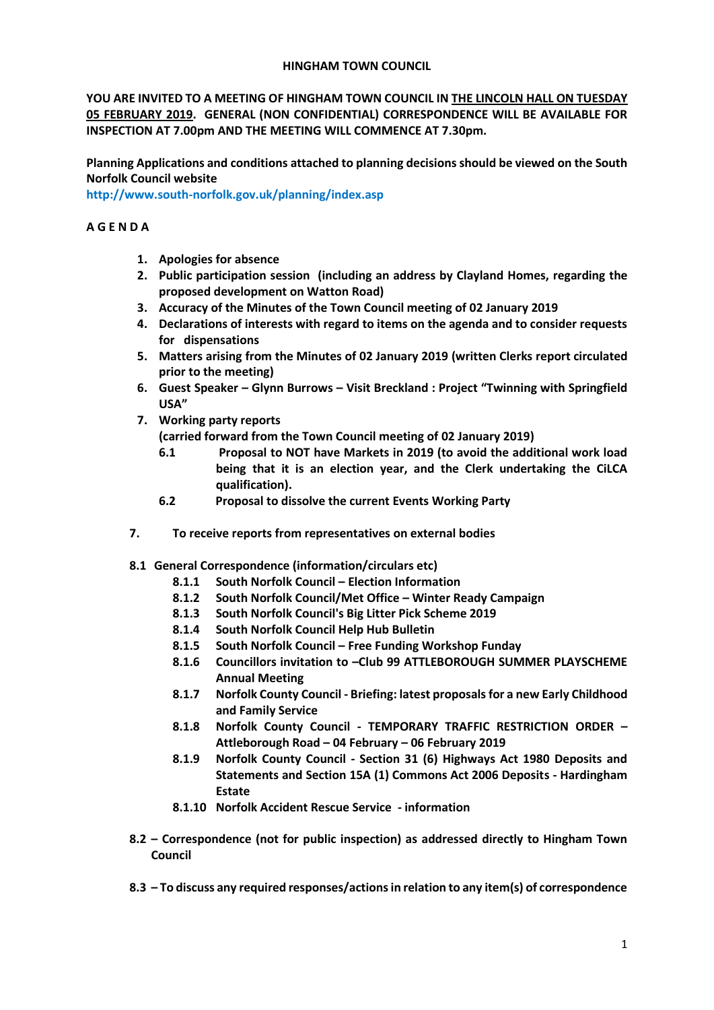### **HINGHAM TOWN COUNCIL**

**YOU ARE INVITED TO A MEETING OF HINGHAM TOWN COUNCIL IN THE LINCOLN HALL ON TUESDAY 05 FEBRUARY 2019. GENERAL (NON CONFIDENTIAL) CORRESPONDENCE WILL BE AVAILABLE FOR INSPECTION AT 7.00pm AND THE MEETING WILL COMMENCE AT 7.30pm.** 

**Planning Applications and conditions attached to planning decisions should be viewed on the South Norfolk Council website** 

**<http://www.south-norfolk.gov.uk/planning/index.asp>**

## **A G E N D A**

- **1. Apologies for absence**
- **2. Public participation session (including an address by Clayland Homes, regarding the proposed development on Watton Road)**
- **3. Accuracy of the Minutes of the Town Council meeting of 02 January 2019**
- **4. Declarations of interests with regard to items on the agenda and to consider requests for dispensations**
- **5. Matters arising from the Minutes of 02 January 2019 (written Clerks report circulated prior to the meeting)**
- **6. Guest Speaker – Glynn Burrows – Visit Breckland : Project "Twinning with Springfield USA"**
- **7. Working party reports** 
	- **(carried forward from the Town Council meeting of 02 January 2019)**
	- **6.1 Proposal to NOT have Markets in 2019 (to avoid the additional work load being that it is an election year, and the Clerk undertaking the CiLCA qualification).**
	- **6.2 Proposal to dissolve the current Events Working Party**
- **7. To receive reports from representatives on external bodies**
- **8.1 General Correspondence (information/circulars etc)**
	- **8.1.1 South Norfolk Council – Election Information**
	- **8.1.2 South Norfolk Council/Met Office – Winter Ready Campaign**
	- **8.1.3 South Norfolk Council's Big Litter Pick Scheme 2019**
	- **8.1.4 South Norfolk Council Help Hub Bulletin**
	- **8.1.5 South Norfolk Council – Free Funding Workshop Funday**
	- **8.1.6 Councillors invitation to –Club 99 ATTLEBOROUGH SUMMER PLAYSCHEME Annual Meeting**
	- **8.1.7 Norfolk County Council - Briefing: latest proposals for a new Early Childhood and Family Service**
	- **8.1.8 Norfolk County Council - TEMPORARY TRAFFIC RESTRICTION ORDER – Attleborough Road – 04 February – 06 February 2019**
	- **8.1.9 Norfolk County Council - Section 31 (6) Highways Act 1980 Deposits and Statements and Section 15A (1) Commons Act 2006 Deposits - Hardingham Estate**
	- **8.1.10 Norfolk Accident Rescue Service - information**
- **8.2 – Correspondence (not for public inspection) as addressed directly to Hingham Town Council**
- **8.3 – To discuss any required responses/actions in relation to any item(s) of correspondence**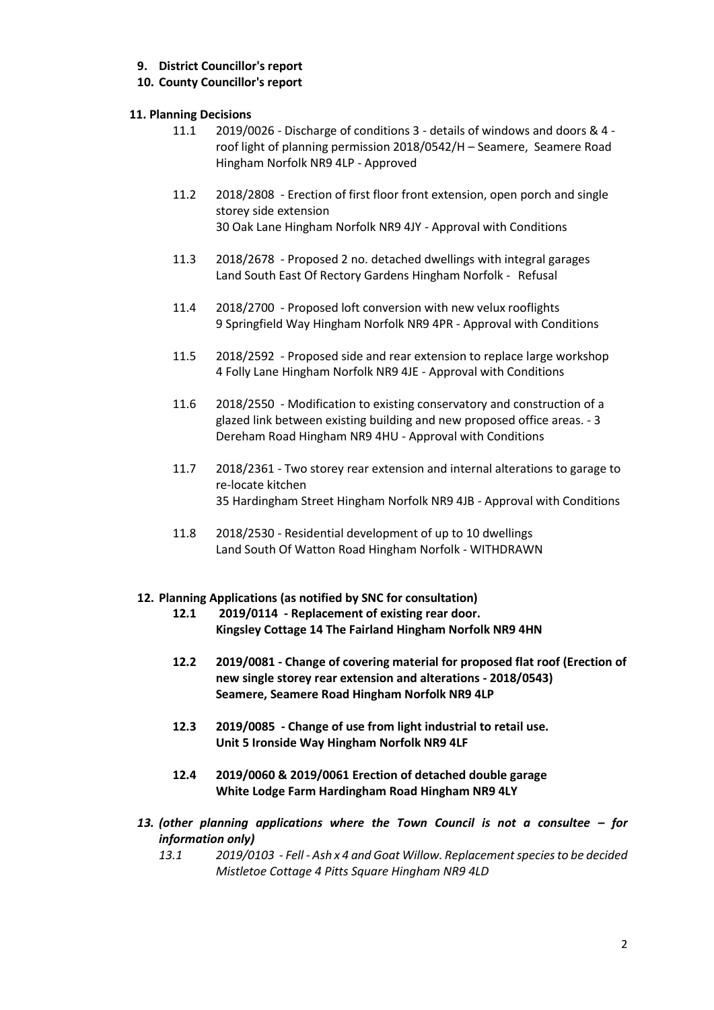# **9. District Councillor's report**

# **10. County Councillor's report**

## **11. Planning Decisions**

- 11.1 2019/0026 Discharge of conditions 3 details of windows and doors & 4 roof light of planning permission 2018/0542/H – Seamere, Seamere Road Hingham Norfolk NR9 4LP - Approved
- 11.2 2018/2808 Erection of first floor front extension, open porch and single storey side extension 30 Oak Lane Hingham Norfolk NR9 4JY - Approval with Conditions
- 11.3 2018/2678 Proposed 2 no. detached dwellings with integral garages Land South East Of Rectory Gardens Hingham Norfolk - Refusal
- 11.4 2018/2700 Proposed loft conversion with new velux rooflights 9 Springfield Way Hingham Norfolk NR9 4PR - Approval with Conditions
- 11.5 2018/2592 Proposed side and rear extension to replace large workshop 4 Folly Lane Hingham Norfolk NR9 4JE - Approval with Conditions
- 11.6 2018/2550 Modification to existing conservatory and construction of a glazed link between existing building and new proposed office areas. - 3 Dereham Road Hingham NR9 4HU - Approval with Conditions
- 11.7 2018/2361 Two storey rear extension and internal alterations to garage to re-locate kitchen 35 Hardingham Street Hingham Norfolk NR9 4JB - Approval with Conditions
- 11.8 2018/2530 Residential development of up to 10 dwellings Land South Of Watton Road Hingham Norfolk - WITHDRAWN

### **12. Planning Applications (as notified by SNC for consultation)**

- **12.1 2019/0114 - Replacement of existing rear door. Kingsley Cottage 14 The Fairland Hingham Norfolk NR9 4HN**
- **12.2 2019/0081 - Change of covering material for proposed flat roof (Erection of new single storey rear extension and alterations - 2018/0543) Seamere, Seamere Road Hingham Norfolk NR9 4LP**
- **12.3 2019/0085 - Change of use from light industrial to retail use. Unit 5 Ironside Way Hingham Norfolk NR9 4LF**
- **12.4 2019/0060 & 2019/0061 Erection of detached double garage White Lodge Farm Hardingham Road Hingham NR9 4LY**
- *13. (other planning applications where the Town Council is not a consultee – for information only)*
	- *13.1 2019/0103 - Fell - Ash x 4 and Goat Willow. Replacement species to be decided Mistletoe Cottage 4 Pitts Square Hingham NR9 4LD*